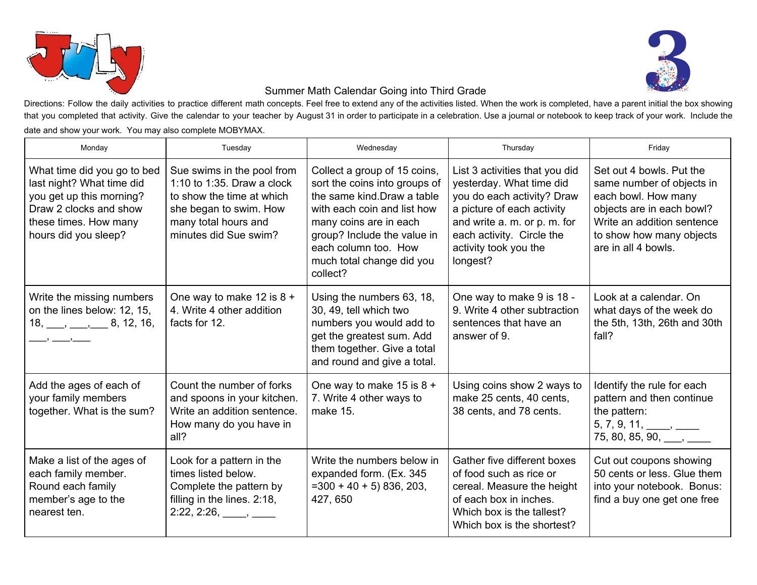



## Summer Math Calendar Going into Third Grade

Directions: Follow the daily activities to practice different math concepts. Feel free to extend any of the activities listed. When the work is completed, have a parent initial the box showing that you completed that activity. Give the calendar to your teacher by August 31 in order to participate in a celebration. Use a journal or notebook to keep track of your work. Include the date and show your work. You may also complete MOBYMAX.

| Monday                                                                                                                                                          | Tuesday                                                                                                                                                          | Wednesday                                                                                                                                                                                                                                             | Thursday                                                                                                                                                                                                                 | Friday                                                                                                                                                                                     |
|-----------------------------------------------------------------------------------------------------------------------------------------------------------------|------------------------------------------------------------------------------------------------------------------------------------------------------------------|-------------------------------------------------------------------------------------------------------------------------------------------------------------------------------------------------------------------------------------------------------|--------------------------------------------------------------------------------------------------------------------------------------------------------------------------------------------------------------------------|--------------------------------------------------------------------------------------------------------------------------------------------------------------------------------------------|
| What time did you go to bed<br>last night? What time did<br>you get up this morning?<br>Draw 2 clocks and show<br>these times. How many<br>hours did you sleep? | Sue swims in the pool from<br>1:10 to 1:35. Draw a clock<br>to show the time at which<br>she began to swim. How<br>many total hours and<br>minutes did Sue swim? | Collect a group of 15 coins,<br>sort the coins into groups of<br>the same kind. Draw a table<br>with each coin and list how<br>many coins are in each<br>group? Include the value in<br>each column too. How<br>much total change did you<br>collect? | List 3 activities that you did<br>yesterday. What time did<br>you do each activity? Draw<br>a picture of each activity<br>and write a. m. or p. m. for<br>each activity. Circle the<br>activity took you the<br>longest? | Set out 4 bowls. Put the<br>same number of objects in<br>each bowl. How many<br>objects are in each bowl?<br>Write an addition sentence<br>to show how many objects<br>are in all 4 bowls. |
| Write the missing numbers<br>on the lines below: 12, 15,<br>$18, \underline{\hspace{1cm}} , \underline{\hspace{1cm}} , \underline{\hspace{1cm}} 8, 12, 16,$     | One way to make 12 is $8 +$<br>4. Write 4 other addition<br>facts for 12.                                                                                        | Using the numbers 63, 18,<br>30, 49, tell which two<br>numbers you would add to<br>get the greatest sum. Add<br>them together. Give a total<br>and round and give a total.                                                                            | One way to make 9 is 18 -<br>9. Write 4 other subtraction<br>sentences that have an<br>answer of 9.                                                                                                                      | Look at a calendar, On<br>what days of the week do<br>the 5th, 13th, 26th and 30th<br>fall?                                                                                                |
| Add the ages of each of<br>your family members<br>together. What is the sum?                                                                                    | Count the number of forks<br>and spoons in your kitchen.<br>Write an addition sentence.<br>How many do you have in<br>all?                                       | One way to make 15 is $8 +$<br>7. Write 4 other ways to<br>make 15.                                                                                                                                                                                   | Using coins show 2 ways to<br>make 25 cents, 40 cents,<br>38 cents, and 78 cents.                                                                                                                                        | Identify the rule for each<br>pattern and then continue<br>the pattern:<br>$5, 7, 9, 11, \_\_\_\_\_\_\_\_\_\_\_\_\_\_\_\_\_\_\_\_$<br>$75, 80, 85, 90, \_\_\_\,$                           |
| Make a list of the ages of<br>each family member.<br>Round each family<br>member's age to the<br>nearest ten.                                                   | Look for a pattern in the<br>times listed below.<br>Complete the pattern by<br>filling in the lines. 2:18,                                                       | Write the numbers below in<br>expanded form. (Ex. 345<br>$=300 + 40 + 5$ ) 836, 203,<br>427, 650                                                                                                                                                      | Gather five different boxes<br>of food such as rice or<br>cereal. Measure the height<br>of each box in inches.<br>Which box is the tallest?<br>Which box is the shortest?                                                | Cut out coupons showing<br>50 cents or less. Glue them<br>into your notebook. Bonus:<br>find a buy one get one free                                                                        |